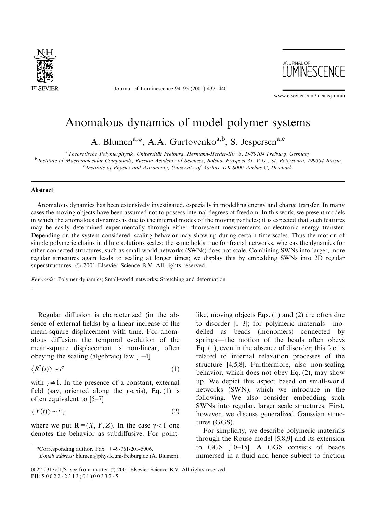

Journal of Luminescence 94–95 (2001) 437–440



www.elsevier.com/locate/jlumin

## Anomalous dynamics of model polymer systems

A. Blumen<sup>a,\*</sup>, A.A. Gurtovenko<sup>a,b</sup>, S. Jespersen<sup>a,c</sup>

<sup>a</sup> Theoretische Polymerphysik, Universität Freiburg, Hermann-Herder-Str. 3, D-79104 Freiburg, Germany<br><sup>b</sup> Institute of Macromolecular Compounds, Russian Academy of Sciences, Bolshoi Prospect 31, V.O., St. Petersburg, 1990

<sup>c</sup> Institute of Physics and Astronomy, University of Aarhus, DK-8000 Aarhus C, Denmark

## Abstract

Anomalous dynamics has been extensively investigated, especially in modelling energy and charge transfer. In many cases the moving objects have been assumed not to possess internal degrees of freedom. In this work, we present models in which the anomalous dynamics is due to the internal modes of the moving particles; it is expected that such features may be easily determined experimentally through either fluorescent measurements or electronic energy transfer. Depending on the system considered, scaling behavior may show up during certain time scales. Thus the motion of simple polymeric chains in dilute solutions scales; the same holds true for fractal networks, whereas the dynamics for other connected structures, such as small-world networks (SWNs) does not scale. Combining SWNs into larger, more regular structures again leads to scaling at longer times; we display this by embedding SWNs into 2D regular superstructures.  $\odot$  2001 Elsevier Science B.V. All rights reserved.

Keywords: Polymer dynamics; Small-world networks; Stretching and deformation

Regular diffusion is characterized (in the absence of external fields) by a linear increase of the mean-square displacement with time. For anomalous diffusion the temporal evolution of the mean-square displacement is non-linear, often obeying the scaling (algebraic) law [1–4]

$$
\langle R^2(t) \rangle \sim t^{\gamma} \tag{1}
$$

with  $\gamma \neq 1$ . In the presence of a constant, external field (say, oriented along the  $y$ -axis), Eq. (1) is often equivalent to [5–7]

$$
\langle Y(t) \rangle \sim t^{\gamma},\tag{2}
$$

where we put  $\mathbf{R}=(X, Y, Z)$ . In the case  $\gamma < 1$  one denotes the behavior as subdiffusive. For point-

like, moving objects Eqs. (1) and (2) are often due to disorder  $[1-3]$ ; for polymeric materials—modelled as beads (monomers) connected by springs—the motion of the beads often obeys Eq. (1), even in the absence of disorder; this fact is related to internal relaxation processes of the structure [4,5,8]. Furthermore, also non-scaling behavior, which does not obey Eq. (2), may show up. We depict this aspect based on small-world networks (SWN), which we introduce in the following. We also consider embedding such SWNs into regular, larger scale structures. First, however, we discuss generalized Gaussian structures (GGS).

For simplicity, we describe polymeric materials through the Rouse model [5,8,9] and its extension to GGS [10–15]. A GGS consists of beads immersed in a fluid and hence subject to friction

<sup>\*</sup>Corresponding author. Fax: +49-761-203-5906.

E-mail address: blumen@physik.uni-freiburg.de (A. Blumen).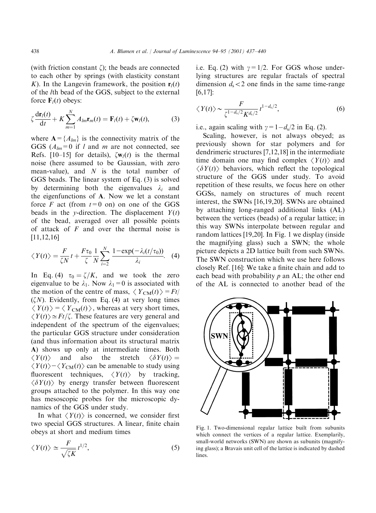(with friction constant  $\zeta$ ); the beads are connected to each other by springs (with elasticity constant K). In the Langevin framework, the position  $\mathbf{r}_l(t)$ of the lth bead of the GGS, subject to the external force  $\mathbf{F}_l(t)$  obeys:

$$
\zeta \frac{\mathrm{d}\mathbf{r}_l(t)}{\mathrm{d}t} + K \sum_{m=1}^N A_{lm} \mathbf{r}_m(t) = \mathbf{F}_l(t) + \zeta \mathbf{w}_l(t), \tag{3}
$$

where  $A = \{A_{lm}\}\$ is the connectivity matrix of the GGS  $(A_{lm}=0$  if l and m are not connected, see Refs. [10–15] for details),  $\zeta \mathbf{w}_l(t)$  is the thermal noise (here assumed to be Gaussian, with zero mean-value), and  $N$  is the total number of GGS beads. The linear system of Eq. (3) is solved by determining both the eigenvalues  $\lambda_i$  and the eigenfunctions of A. Now we let a constant force F act (from  $t=0$  on) on one of the GGS beads in the y-direction. The displacement  $Y(t)$ of the bead, averaged over all possible points of attack of  $F$  and over the thermal noise is [11,12,16]

$$
\langle Y(t) \rangle = \frac{F}{\zeta N} t + \frac{F\tau_0}{\zeta} \frac{1}{N} \sum_{i=2}^{N} \frac{1 - \exp(-\lambda_i(t/\tau_0))}{\lambda_i} \tag{4}
$$

In Eq. (4)  $\tau_0 = \zeta/K$ , and we took the zero eigenvalue to be  $\lambda_1$ . Now  $\lambda_1=0$  is associated with the motion of the centre of mass,  $\langle Y_{CM}(t)\rangle = Ft/$  $(\zeta N)$ . Evidently, from Eq. (4) at very long times  $\langle Y(t)\rangle = \langle Y_{CM}(t)\rangle$ , whereas at very short times,  $\langle Y(t)\rangle \simeq Ft/\zeta$ . These features are very general and independent of the spectrum of the eigenvalues; the particular GGS structure under consideration (and thus information about its structural matrix A) shows up only at intermediate times. Both  $\langle Y(t) \rangle$  and also the stretch  $\langle \delta Y(t) \rangle =$  $\langle Y(t) \rangle - \langle Y_{CM}(t) \rangle$  can be amenable to study using fluorescent techniques,  $\langle Y(t) \rangle$  by tracking,  $\langle \delta Y(t) \rangle$  by energy transfer between fluorescent groups attached to the polymer. In this way one has mesoscopic probes for the microscopic dynamics of the GGS under study.

In what  $\langle Y(t) \rangle$  is concerned, we consider first two special GGS structures. A linear, finite chain obeys at short and medium times

$$
\langle Y(t) \rangle \simeq \frac{F}{\sqrt{\zeta K}} t^{1/2},\tag{5}
$$

i.e. Eq. (2) with  $\gamma = 1/2$ . For GGS whose underlying structures are regular fractals of spectral dimension  $d_s < 2$  one finds in the same time-range  $[6,17]$ :

$$
\langle Y(t) \rangle \sim \frac{F}{\zeta^{1-d_s/2} K^{d_s/2}} t^{1-d_s/2},\tag{6}
$$

i.e., again scaling with  $\gamma = 1 - d_s/2$  in Eq. (2).

Scaling, however, is not always obeyed; as previously shown for star polymers and for dendrimeric structures [7,12,18] in the intermediate time domain one may find complex  $\langle Y(t) \rangle$  and  $\langle \delta Y(t) \rangle$  behaviors, which reflect the topological structure of the GGS under study. To avoid repetition of these results, we focus here on other GGSs, namely on structures of much recent interest, the SWNs [16,19,20]. SWNs are obtained by attaching long-ranged additional links (AL) between the vertices (beads) of a regular lattice; in this way SWNs interpolate between regular and random lattices [19,20]. In Fig. 1 we display (inside the magnifying glass) such a SWN; the whole picture depicts a 2D lattice built from such SWNs. The SWN construction which we use here follows closely Ref. [16]: We take a finite chain and add to each bead with probability  $p$  an AL; the other end of the AL is connected to another bead of the



Fig. 1. Two-dimensional regular lattice built from subunits which connect the vertices of a regular lattice. Exemplarily, small-world networks (SWN) are shown as subunits (magnifying glass); a Bravais unit cell of the lattice is indicated by dashed lines.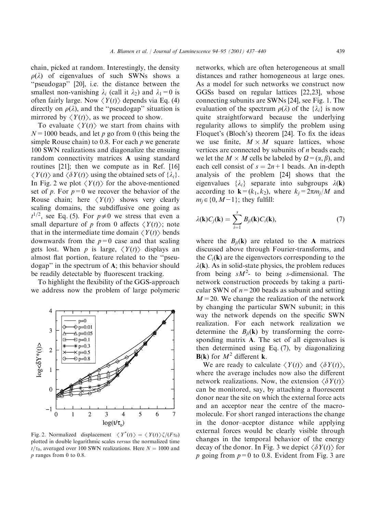chain, picked at random. Interestingly, the density  $\rho(\lambda)$  of eigenvalues of such SWNs shows a "pseudogap" [20], i.e. the distance between the smallest non-vanishing  $\lambda_i$  (call it  $\lambda_2$ ) and  $\lambda_1=0$  is often fairly large. Now  $\langle Y(t) \rangle$  depends via Eq. (4) directly on  $\rho(\lambda)$ , and the "pseudogap" situation is mirrored by  $\langle Y(t) \rangle$ , as we proceed to show.

To evaluate  $\langle Y(t) \rangle$  we start from chains with  $N=1000$  beads, and let p go from 0 (this being the simple Rouse chain) to 0.8. For each  $p$  we generate 100 SWN realizations and diagonalize the ensuing random connectivity matrices A using standard routines [21]; then we compute as in Ref. [16]  $\langle Y(t) \rangle$  and  $\langle \delta Y(t) \rangle$  using the obtained sets of  $\{\lambda_i\}.$ In Fig. 2 we plot  $\langle Y(t) \rangle$  for the above-mentioned set of p. For  $p=0$  we recover the behavior of the Rouse chain; here  $\langle Y(t) \rangle$  shows very clearly scaling domains, the subdiffusive one going as  $t^{1/2}$ , see Eq. (5). For  $p\neq 0$  we stress that even a small departure of p from 0 affects  $\langle Y(t) \rangle$ ; note that in the intermediate time domain  $\langle Y(t) \rangle$  bends downwards from the  $p=0$  case and that scaling gets lost. When p is large,  $\langle Y(t) \rangle$  displays an almost flat portion, feature related to the ''pseudogap'' in the spectrum of A; this behavior should be readily detectable by fluorescent tracking.

To highlight the flexibility of the GGS-approach we address now the problem of large polymeric



Fig. 2. Normalized displacement  $\langle Y^*(t) \rangle = \langle Y(t) \rangle \zeta / (F \tau_0)$ plotted in double logarithmic scales versus the normalized time  $t/\tau_0$ , averaged over 100 SWN realizations. Here  $N = 1000$  and p ranges from 0 to 0.8.

networks, which are often heterogeneous at small distances and rather homogeneous at large ones. As a model for such networks we construct now GGSs based on regular lattices [22,23], whose connecting subunits are SWNs [24], see Fig. 1. The evaluation of the spectrum  $\rho(\lambda)$  of the  $\{\lambda_i\}$  is now quite straightforward because the underlying regularity allows to simplify the problem using Floquet's (Bloch's) theorem [24]. To fix the ideas we use finite,  $M \times M$  square lattices, whose vertices are connected by subunits of  $n$  beads each; we let the  $M \times M$  cells be labeled by  $\Omega = (\alpha, \beta)$ , and each cell consist of  $s = 2n+1$  beads. An in-depth analysis of the problem [24] shows that the eigenvalues  $\{\lambda_i\}$  separate into subgroups  $\lambda(\mathbf{k})$ according to  $\mathbf{k}=(k_1, k_2)$ , where  $k_i=2\pi m_i/M$  and  $m_i \in \{0, M-1\}$ ; they fulfill:

$$
\lambda(\mathbf{k})C_j(\mathbf{k}) = \sum_{i=1}^s B_{ji}(\mathbf{k})C_i(\mathbf{k}),\tag{7}
$$

where the  $B_{ii}(\mathbf{k})$  are related to the **A** matrices discussed above through Fourier-transforms, and the  $C_i(\mathbf{k})$  are the eigenvectors corresponding to the  $\lambda(\mathbf{k})$ . As in solid-state physics, the problem reduces from being  $sM^2$ - to being s-dimensional. The network construction proceeds by taking a particular SWN of  $n=200$  beads as subunit and setting  $M=20$ . We change the realization of the network by changing the particular SWN subunit; in this way the network depends on the specific SWN realization. For each network realization we determine the  $B_{ii}(\mathbf{k})$  by transforming the corresponding matrix A. The set of all eigenvalues is then determined using Eq. (7), by diagonalizing  $B(k)$  for  $M^2$  different k.

We are ready to calculate  $\langle Y(t) \rangle$  and  $\langle \delta Y(t) \rangle$ , where the average includes now also the different network realizations. Now, the extension  $\langle \delta Y(t) \rangle$ can be monitored, say, by attaching a fluorescent donor near the site on which the external force acts and an acceptor near the centre of the macromolecule. For short ranged interactions the change in the donor–aceptor distance while applying external forces would be clearly visible through changes in the temporal behavior of the energy decay of the donor. In Fig. 3 we depict  $\langle \delta Y(t) \rangle$  for p going from  $p=0$  to 0.8. Evident from Fig. 3 are